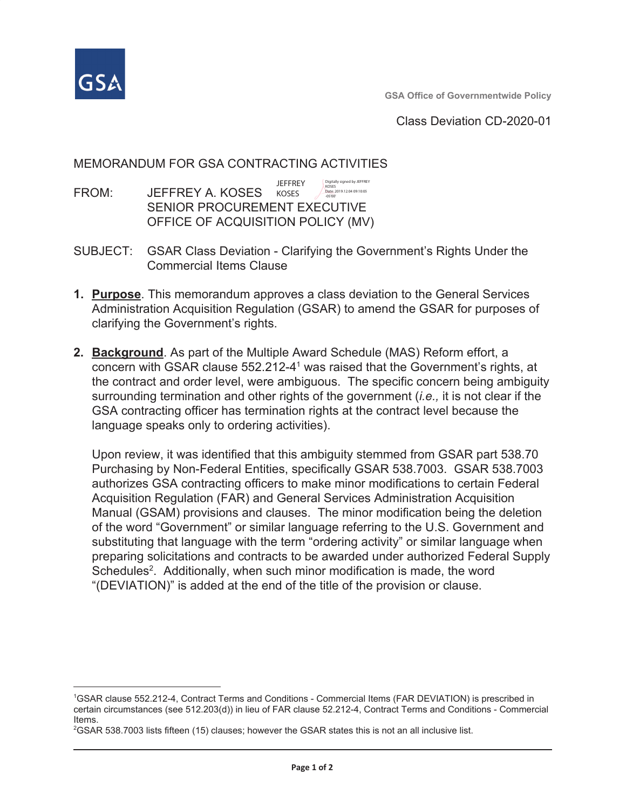

Class Deviation CD-2020-01

## MEMORANDUM FOR GSA CONTRACTING ACTIVITIES

**IFFFREY** Digitally signed by JEFFREY Date: 2019.12.04 09:10:05<br>-05'00' FROM: JEFFREY A. KOSES KOSES **SENIOR PROCUREMENT EXECUTIVE** OFFICE OF ACQUISITION POLICY (MV)

- SUBJECT: GSAR Class Deviation Clarifying the Government's Rights Under the **Commercial Items Clause**
- 1. Purpose. This memorandum approves a class deviation to the General Services Administration Acquisition Regulation (GSAR) to amend the GSAR for purposes of clarifying the Government's rights.
- 2. Background. As part of the Multiple Award Schedule (MAS) Reform effort, a concern with GSAR clause 552.212-4<sup>1</sup> was raised that the Government's rights, at the contract and order level, were ambiguous. The specific concern being ambiguity surrounding termination and other rights of the government *(i.e.,* it is not clear if the GSA contracting officer has termination rights at the contract level because the language speaks only to ordering activities).

Upon review, it was identified that this ambiguity stemmed from GSAR part 538.70 Purchasing by Non-Federal Entities, specifically GSAR 538.7003. GSAR 538.7003 authorizes GSA contracting officers to make minor modifications to certain Federal Acquisition Regulation (FAR) and General Services Administration Acquisition Manual (GSAM) provisions and clauses. The minor modification being the deletion of the word "Government" or similar language referring to the U.S. Government and substituting that language with the term "ordering activity" or similar language when preparing solicitations and contracts to be awarded under authorized Federal Supply Schedules<sup>2</sup>. Additionally, when such minor modification is made, the word "(DEVIATION)" is added at the end of the title of the provision or clause.

<sup>&</sup>lt;sup>1</sup>GSAR clause 552.212-4. Contract Terms and Conditions - Commercial Items (FAR DEVIATION) is prescribed in certain circumstances (see 512.203(d)) in lieu of FAR clause 52.212-4, Contract Terms and Conditions - Commercial Items.

<sup>&</sup>lt;sup>2</sup>GSAR 538.7003 lists fifteen (15) clauses; however the GSAR states this is not an all inclusive list.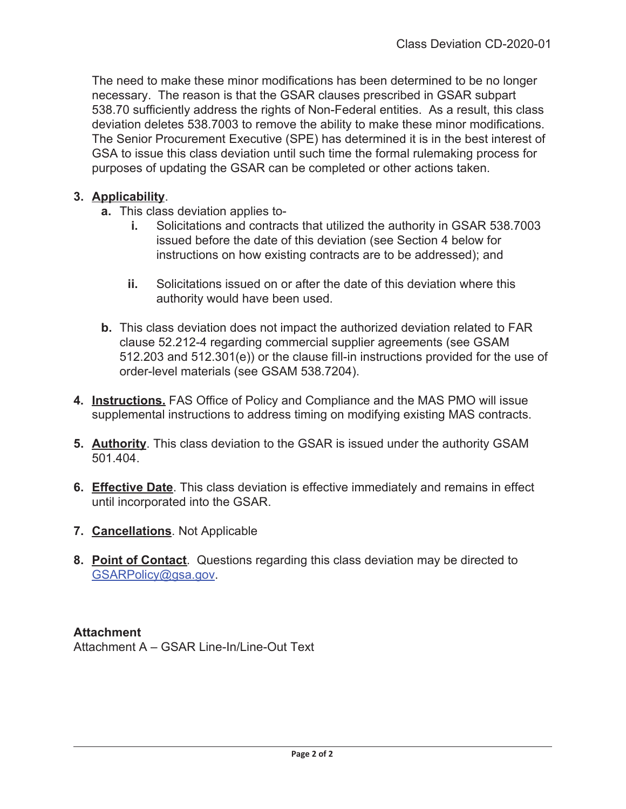The need to make these minor modifications has been determined to be no longer necessary. The reason is that the GSAR clauses prescribed in GSAR subpart 538.70 sufficiently address the rights of Non-Federal entities. As a result, this class deviation deletes 538.7003 to remove the ability to make these minor modifications. The Senior Procurement Executive (SPE) has determined it is in the best interest of GSA to issue this class deviation until such time the formal rulemaking process for purposes of updating the GSAR can be completed or other actions taken.

# 3. Applicability.

- **a.** This class deviation applies to-
	- Solicitations and contracts that utilized the authority in GSAR 538.7003 i., issued before the date of this deviation (see Section 4 below for instructions on how existing contracts are to be addressed); and
	- ii. Solicitations issued on or after the date of this deviation where this authority would have been used.
- **b.** This class deviation does not impact the authorized deviation related to FAR clause 52.212-4 regarding commercial supplier agreements (see GSAM 512.203 and 512.301(e)) or the clause fill-in instructions provided for the use of order-level materials (see GSAM 538.7204).
- 4. Instructions. FAS Office of Policy and Compliance and the MAS PMO will issue supplemental instructions to address timing on modifying existing MAS contracts.
- 5. Authority. This class deviation to the GSAR is issued under the authority GSAM 501.404
- 6. Effective Date. This class deviation is effective immediately and remains in effect until incorporated into the GSAR.
- 7. Cancellations. Not Applicable
- 8. Point of Contact. Questions regarding this class deviation may be directed to GSARPolicy@gsa.gov.

**Attachment** Attachment A - GSAR Line-In/Line-Out Text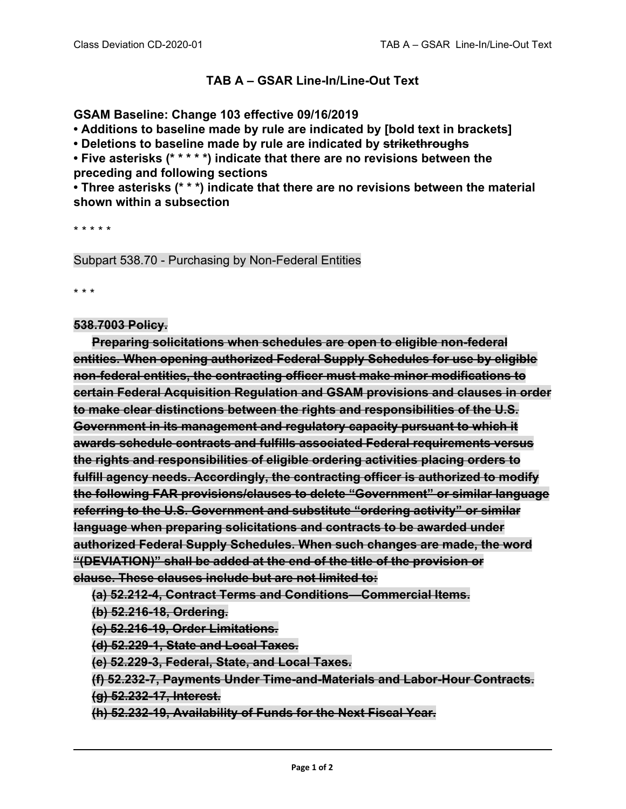## **TAB A – GSAR Line-In/Line-Out Text**

### **GSAM Baseline: Change 103 effective 09/16/2019**

**• Additions to baseline made by rule are indicated by [bold text in brackets]**

**• Deletions to baseline made by rule are indicated by strikethroughs**

**• Five asterisks (\* \* \* \* \*) indicate that there are no revisions between the preceding and following sections**

**• Three asterisks (\* \* \*) indicate that there are no revisions between the material shown within a subsection**

\* \* \* \* \*

Subpart 538.70 - Purchasing by Non-Federal Entities

\* \* \*

### **538.7003 Policy.**

**Preparing solicitations when schedules are open to eligible non-federal entities. When opening authorized Federal Supply Schedules for use by eligible non-federal entities, the contracting officer must make minor modifications to certain Federal Acquisition Regulation and GSAM provisions and clauses in order to make clear distinctions between the rights and responsibilities of the U.S. Government in its management and regulatory capacity pursuant to which it awards schedule contracts and fulfills associated Federal requirements versus the rights and responsibilities of eligible ordering activities placing orders to fulfill agency needs. Accordingly, the contracting officer is authorized to modify the following FAR provisions/clauses to delete "Government" or similar language referring to the U.S. Government and substitute "ordering activity" or similar language when preparing solicitations and contracts to be awarded under authorized Federal Supply Schedules. When such changes are made, the word "(DEVIATION)" shall be added at the end of the title of the provision or clause. These clauses include but are not limited to:**

**(a) 52.212-4, Contract Terms and Conditions—Commercial Items.**

**(b) 52.216-18, Ordering.**

**(c) 52.216-19, Order Limitations.**

**(d) 52.229-1, State and Local Taxes.**

**(e) 52.229-3, Federal, State, and Local Taxes.**

**(f) 52.232-7, Payments Under Time-and-Materials and Labor-Hour Contracts.**

**(g) 52.232-17, Interest.**

**(h) 52.232-19, Availability of Funds for the Next Fiscal Year.**